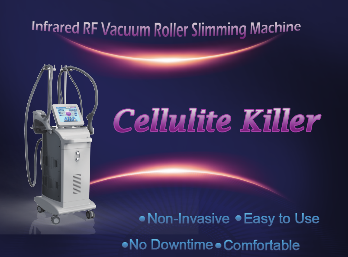# Infrared RF Vacuum Roller Slimming Machine

A

# **Cellulite Killer**

• Non-Invasive • Easy to Use

•No Downtime • Comfortable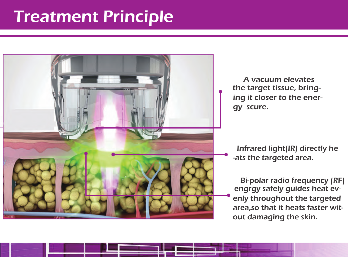# **Treatment Principle**



A vacuum elevates the target tissue, bringing it closer to the energy scure.

 Infrared light(IR) directly he -ats the targeted area.

enly throughout the targeted area,so that it heats faster witout damaging the skin. engrgy safely guides heat ev- Bi-polar radio frequency (RF)

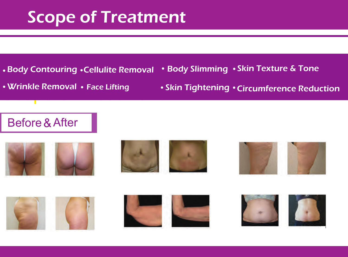# Scope of Treatment Scope of Treatment

- Body Contouring Cellulite Removal
- Wrinkle Removal Face Lifting<br>Demonstration

• Skin Tightening • Circumference Reduction

• Body Slimming • Skin Texture & Tone

# Before & After













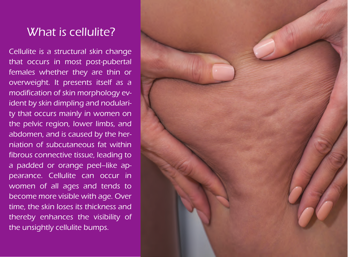# What is cellulite?

Cellulite is a structural skin change that occurs in most post-pubertal females whether they are thin or overweight. It presents itself as a modification of skin morphology evident by skin dimpling and nodularity that occurs mainly in women on the pelvic region, lower limbs, and abdomen, and is caused by the herniation of subcutaneous fat within fibrous connective tissue, leading to a padded or orange peel–like appearance. Cellulite can occur in women of all ages and tends to become more visible with age. Over time, the skin loses its thickness and thereby enhances the visibility of the unsightly cellulite bumps.

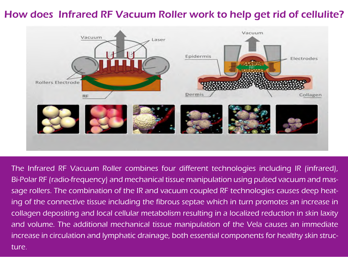## How does Infrared RF Vacuum Roller work to help get rid of cellulite?



The Infrared RF Vacuum Roller combines four different technologies including IR (infrared), Bi-Polar RF (radio-frequency) and mechanical tissue manipulation using pulsed vacuum and massage rollers. The combination of the IR and vacuum coupled RF technologies causes deep heating of the connective tissue including the fibrous septae which in turn promotes an increase in collagen depositing and local cellular metabolism resulting in a localized reduction in skin laxity and volume. The additional mechanical tissue manipulation of the Vela causes an immediate increase in circulation and lymphatic drainage, both essential components for healthy skin structure.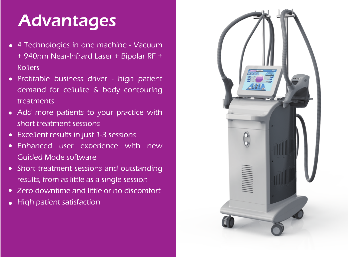# Advantages

- 4 Technologies in one machine Vacuum + 940nm Near-Infrard Laser + Bipolar RF + Rollers
- Profitable business driver high patient demand for cellulite & body contouring treatments
- Add more patients to your practice with short treatment sessions
- Excellent results in just 1-3 sessions
- Enhanced user experience with new Guided Mode software
- Short treatment sessions and outstanding results, from as little as a single session
- Zero downtime and little or no discomfort
- High patient satisfaction

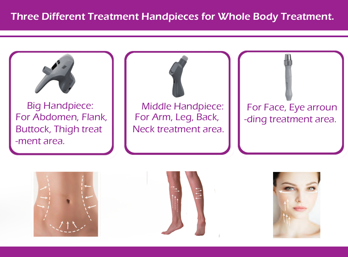

Big Handpiece: For Abdomen, Flank, Buttock, Thigh treat -ment area.







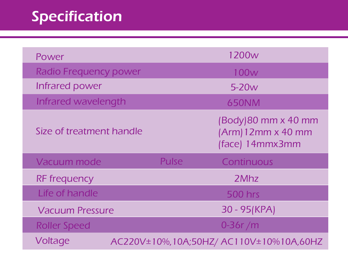# Specification

| Power                        |  |       | 1200 <sub>w</sub>                                             |
|------------------------------|--|-------|---------------------------------------------------------------|
| <b>Radio Frequency power</b> |  | 100w  |                                                               |
| Infrared power               |  | 5-20w |                                                               |
| Infrared wavelength          |  |       | <b>650NM</b>                                                  |
| Size of treatment handle     |  |       | (Body) 80 mm x 40 mm<br>(Arm) 12mm x 40 mm<br>(face) 14mmx3mm |
| Vacuum mode                  |  | Pulse | Continuous                                                    |
| <b>RF</b> frequency          |  |       | 2Mhz                                                          |
| Life of handle               |  |       | <b>500 hrs</b>                                                |
| <b>Vacuum Pressure</b>       |  |       | 30 - 95 (KPA)                                                 |
| <b>Roller Speed</b>          |  |       | $0-36r/m$                                                     |
| Voltage                      |  |       | AC220V±10%, 10A;50HZ/ AC110V±10%10A,60HZ                      |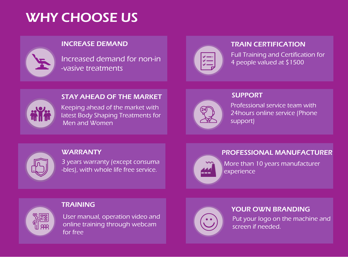# WHY CHOOSE US

#### INCREASE DEMAND

Increased demand for non-in -vasive treatments

# $\begin{array}{c} \leftarrow \\ \leftarrow \\ \leftarrow \\ \leftarrow \end{array}$

#### TRAIN CERTIFICATION

Full Training and Certification for 4 people valued at \$1500



#### STAY AHEAD OF THE MARKET

Keeping ahead of the market with latest Body Shaping Treatments for Men and Women



#### SUPPORT

Professional service team with 24hours online service (Phone support)

**PORT** 

#### **WARRANTY**

3 years warranty (except consuma -bles), with whole life free service.

#### PROFESSIONAL MANUFACTURER

---

More than 10 years manufacturer experience

#### TRAINING

User manual, operation video and online training through webcam for free



#### YOUR OWN BRANDING

Put your logo on the machine and screen if needed.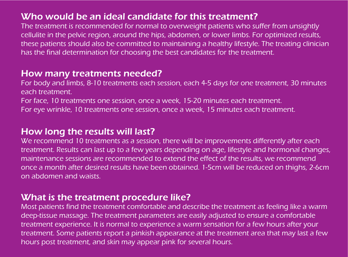### Who would be an ideal candidate for this treatment?

The treatment is recommended for normal to overweight patients who suffer from unsightly cellulite in the pelvic region, around the hips, abdomen, or lower limbs. For optimized results, these patients should also be committed to maintaining a healthy lifestyle. The treating clinician has the final determination for choosing the best candidates for the treatment.

### How many treatments needed?

For body and limbs, 8-10 treatments each session, each 4-5 days for one treatment, 30 minutes each treatment.

For face, 10 treatments one session, once a week, 15-20 minutes each treatment.

For eye wrinkle, 10 treatments one session, once a week, 15 minutes each treatment.

### How long the results will last?

We recommend 10 treatments as a session, there will be improvements differently after each treatment. Results can last up to a few years depending on age, lifestyle and hormonal changes, maintenance sessions are recommended to extend the effect of the results, we recommend once a month after desired results have been obtained. 1-5cm will be reduced on thighs, 2-6cm on abdomen and waists.

### What is the treatment procedure like?

Most patients find the treatment comfortable and describe the treatment as feeling like a warm deep-tissue massage. The treatment parameters are easily adjusted to ensure a comfortable treatment experience. It is normal to experience a warm sensation for a few hours after your treatment. Some patients report a pinkish appearance at the treatment area that may last a few hours post treatment, and skin may appear pink for several hours.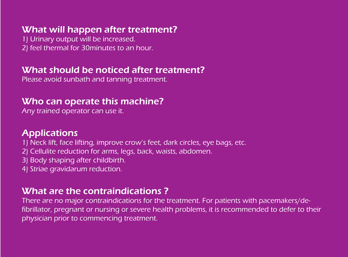### What will happen after treatment?

1) Urinary output will be increased. 2) feel thermal for 30minutes to an hour.

### What should be noticed after treatment?

Please avoid sunbath and tanning treatment.

## Who can operate this machine?

Any trained operator can use it.

## **Applications**

- 1) Neck lift, face lifting, improve crow's feet, dark circles, eye bags, etc.
- 2) Cellulite reduction for arms, legs, back, waists, abdomen.
- 3) Body shaping after childbirth.
- 4) Striae gravidarum reduction.

### What are the contraindications ?

There are no major contraindications for the treatment. For patients with pacemakers/defibrillator, pregnant or nursing or severe health problems, it is recommended to defer to their physician prior to commencing treatment.